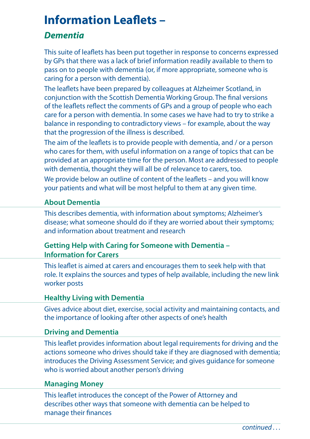# **Information Leaflets –**

# *Dementia*

This suite of leaflets has been put together in response to concerns expressed by GPs that there was a lack of brief information readily available to them to pass on to people with dementia (or, if more appropriate, someone who is caring for a person with dementia).

The leaflets have been prepared by colleagues at Alzheimer Scotland, in conjunction with the Scottish Dementia Working Group. The final versions of the leaflets reflect the comments of GPs and a group of people who each care for a person with dementia. In some cases we have had to try to strike a balance in responding to contradictory views – for example, about the way that the progression of the illness is described.

The aim of the leaflets is to provide people with dementia, and / or a person who cares for them, with useful information on a range of topics that can be provided at an appropriate time for the person. Most are addressed to people with dementia, thought they will all be of relevance to carers, too.

We provide below an outline of content of the leaflets – and you will know your patients and what will be most helpful to them at any given time.

# **About Dementia**

This describes dementia, with information about symptoms; Alzheimer's disease; what someone should do if they are worried about their symptoms; and information about treatment and research

# **Getting Help with Caring for Someone with Dementia – Information for Carers**

This leaflet is aimed at carers and encourages them to seek help with that role. It explains the sources and types of help available, including the new link worker posts

# **Healthy Living with Dementia**

Gives advice about diet, exercise, social activity and maintaining contacts, and the importance of looking after other aspects of one's health

# **Driving and Dementia**

This leaflet provides information about legal requirements for driving and the actions someone who drives should take if they are diagnosed with dementia; introduces the Driving Assessment Service; and gives guidance for someone who is worried about another person's driving

#### **Managing Money**

This leaflet introduces the concept of the Power of Attorney and describes other ways that someone with dementia can be helped to manage their finances